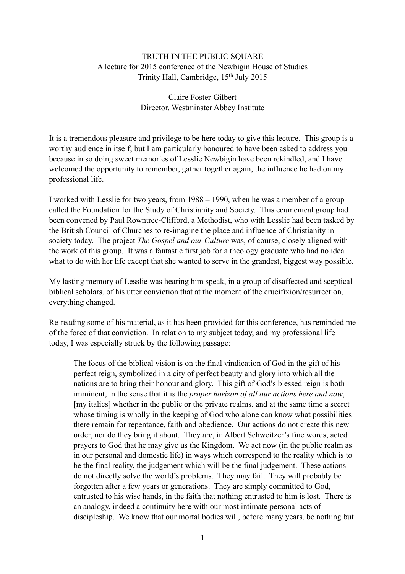## TRUTH IN THE PUBLIC SOUARE A lecture for 2015 conference of the Newbigin House of Studies Trinity Hall, Cambridge, 15th July 2015

## Claire Foster-Gilbert Director, Westminster Abbey Institute

It is a tremendous pleasure and privilege to be here today to give this lecture. This group is a worthy audience in itself; but I am particularly honoured to have been asked to address you because in so doing sweet memories of Lesslie Newbigin have been rekindled, and I have welcomed the opportunity to remember, gather together again, the influence he had on my professional life.

I worked with Lesslie for two years, from 1988 – 1990, when he was a member of a group called the Foundation for the Study of Christianity and Society. This ecumenical group had been convened by Paul Rowntree-Clifford, a Methodist, who with Lesslie had been tasked by the British Council of Churches to re-imagine the place and influence of Christianity in society today. The project *The Gospel and our Culture* was, of course, closely aligned with the work of this group. It was a fantastic first job for a theology graduate who had no idea what to do with her life except that she wanted to serve in the grandest, biggest way possible.

My lasting memory of Lesslie was hearing him speak, in a group of disaffected and sceptical biblical scholars, of his utter conviction that at the moment of the crucifixion/resurrection, everything changed.

Re-reading some of his material, as it has been provided for this conference, has reminded me of the force of that conviction. In relation to my subject today, and my professional life today, I was especially struck by the following passage:

The focus of the biblical vision is on the final vindication of God in the gift of his perfect reign, symbolized in a city of perfect beauty and glory into which all the nations are to bring their honour and glory. This gift of God's blessed reign is both imminent, in the sense that it is the *proper horizon of all our actions here and now*, [my italics] whether in the public or the private realms, and at the same time a secret whose timing is wholly in the keeping of God who alone can know what possibilities there remain for repentance, faith and obedience. Our actions do not create this new order, nor do they bring it about. They are, in Albert Schweitzer's fine words, acted prayers to God that he may give us the Kingdom. We act now (in the public realm as in our personal and domestic life) in ways which correspond to the reality which is to be the final reality, the judgement which will be the final judgement. These actions do not directly solve the world's problems. They may fail. They will probably be forgotten after a few years or generations. They are simply committed to God, entrusted to his wise hands, in the faith that nothing entrusted to him is lost. There is an analogy, indeed a continuity here with our most intimate personal acts of discipleship. We know that our mortal bodies will, before many years, be nothing but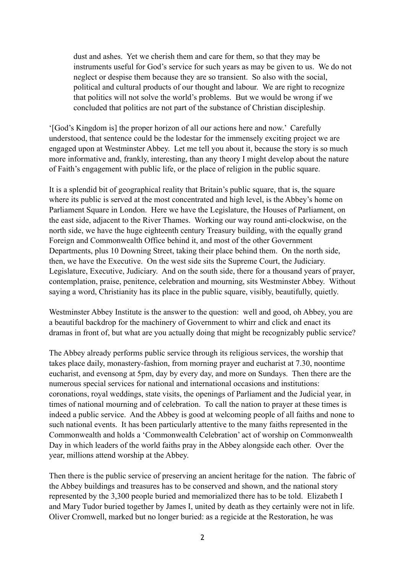dust and ashes. Yet we cherish them and care for them, so that they may be instruments useful for God's service for such years as may be given to us. We do not neglect or despise them because they are so transient. So also with the social, political and cultural products of our thought and labour. We are right to recognize that politics will not solve the world's problems. But we would be wrong if we concluded that politics are not part of the substance of Christian discipleship.

'[God's Kingdom is] the proper horizon of all our actions here and now.' Carefully understood, that sentence could be the lodestar for the immensely exciting project we are engaged upon at Westminster Abbey. Let me tell you about it, because the story is so much more informative and, frankly, interesting, than any theory I might develop about the nature of Faith's engagement with public life, or the place of religion in the public square.

It is a splendid bit of geographical reality that Britain's public square, that is, the square where its public is served at the most concentrated and high level, is the Abbey's home on Parliament Square in London. Here we have the Legislature, the Houses of Parliament, on the east side, adjacent to the River Thames. Working our way round anti-clockwise, on the north side, we have the huge eighteenth century Treasury building, with the equally grand Foreign and Commonwealth Office behind it, and most of the other Government Departments, plus 10 Downing Street, taking their place behind them. On the north side, then, we have the Executive. On the west side sits the Supreme Court, the Judiciary. Legislature, Executive, Judiciary. And on the south side, there for a thousand years of prayer, contemplation, praise, penitence, celebration and mourning, sits Westminster Abbey. Without saying a word, Christianity has its place in the public square, visibly, beautifully, quietly.

Westminster Abbey Institute is the answer to the question: well and good, oh Abbey, you are a beautiful backdrop for the machinery of Government to whirr and click and enact its dramas in front of, but what are you actually doing that might be recognizably public service?

The Abbey already performs public service through its religious services, the worship that takes place daily, monastery-fashion, from morning prayer and eucharist at 7.30, noontime eucharist, and evensong at 5pm, day by every day, and more on Sundays. Then there are the numerous special services for national and international occasions and institutions: coronations, royal weddings, state visits, the openings of Parliament and the Judicial year, in times of national mourning and of celebration. To call the nation to prayer at these times is indeed a public service. And the Abbey is good at welcoming people of all faiths and none to such national events. It has been particularly attentive to the many faiths represented in the Commonwealth and holds a 'Commonwealth Celebration' act of worship on Commonwealth Day in which leaders of the world faiths pray in the Abbey alongside each other. Over the year, millions attend worship at the Abbey.

Then there is the public service of preserving an ancient heritage for the nation. The fabric of the Abbey buildings and treasures has to be conserved and shown, and the national story represented by the 3,300 people buried and memorialized there has to be told. Elizabeth I and Mary Tudor buried together by James I, united by death as they certainly were not in life. Oliver Cromwell, marked but no longer buried: as a regicide at the Restoration, he was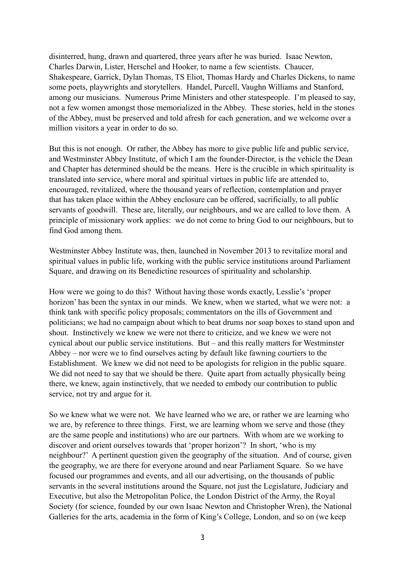disinterred, hung, drawn and quartered, three years after he was buried. Isaac Newton, Charles Darwin, Lister, Herschel and Hooker, to name a few scientists. Chaucer, Shakespeare, Garrick, Dylan Thomas, TS Eliot, Thomas Hardy and Charles Dickens, to name some poets, playwrights and storytellers. Handel, Purcell, Vaughn Williams and Stanford, among our musicians. Numerous Prime Ministers and other statespeople. I'm pleased to say, not a few women amongst those memorialized in the Abbey. These stories, held in the stones of the Abbey, must be preserved and told afresh for each generation, and we welcome over a million visitors a year in order to do so.

But this is not enough. Or rather, the Abbey has more to give public life and public service, and Westminster Abbey Institute, of which I am the founder-Director, is the vehicle the Dean and Chapter has determined should be the means. Here is the crucible in which spirituality is translated into service, where moral and spiritual virtues in public life are attended to, encouraged, revitalized, where the thousand years of reflection, contemplation and prayer that has taken place within the Abbey enclosure can be offered, sacrificially, to all public servants of goodwill. These are, literally, our neighbours, and we are called to love them. A principle of missionary work applies: we do not come to bring God to our neighbours, but to find God among them.

Westminster Abbey Institute was, then, launched in November 2013 to revitalize moral and spiritual values in public life, working with the public service institutions around Parliament Square, and drawing on its Benedictine resources of spirituality and scholarship.

How were we going to do this? Without having those words exactly, Lesslie's 'proper horizon' has been the syntax in our minds. We knew, when we started, what we were not: a think tank with specific policy proposals; commentators on the ills of Government and politicians; we had no campaign about which to beat drums nor soap boxes to stand upon and shout. Instinctively we knew we were not there to criticize, and we knew we were not cynical about our public service institutions. But – and this really matters for Westminster Abbey – nor were we to find ourselves acting by default like fawning courtiers to the Establishment. We knew we did not need to be apologists for religion in the public square. We did not need to say that we should be there. Quite apart from actually physically being there, we knew, again instinctively, that we needed to embody our contribution to public service, not try and argue for it.

So we knew what we were not. We have learned who we are, or rather we are learning who we are, by reference to three things. First, we are learning whom we serve and those (they are the same people and institutions) who are our partners. With whom are we working to discover and orient ourselves towards that 'proper horizon'? In short, 'who is my neighbour?' A pertinent question given the geography of the situation. And of course, given the geography, we are there for everyone around and near Parliament Square. So we have focused our programmes and events, and all our advertising, on the thousands of public servants in the several institutions around the Square, not just the Legislature, Judiciary and Executive, but also the Metropolitan Police, the London District of the Army, the Royal Society (for science, founded by our own Isaac Newton and Christopher Wren), the National Galleries for the arts, academia in the form of King's College, London, and so on (we keep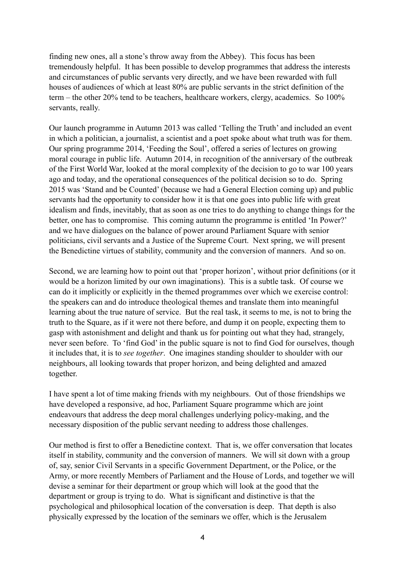finding new ones, all a stone's throw away from the Abbey). This focus has been tremendously helpful. It has been possible to develop programmes that address the interests and circumstances of public servants very directly, and we have been rewarded with full houses of audiences of which at least 80% are public servants in the strict definition of the term – the other 20% tend to be teachers, healthcare workers, clergy, academics. So 100% servants, really.

Our launch programme in Autumn 2013 was called 'Telling the Truth' and included an event in which a politician, a journalist, a scientist and a poet spoke about what truth was for them. Our spring programme 2014, 'Feeding the Soul', offered a series of lectures on growing moral courage in public life. Autumn 2014, in recognition of the anniversary of the outbreak of the First World War, looked at the moral complexity of the decision to go to war 100 years ago and today, and the operational consequences of the political decision so to do. Spring 2015 was 'Stand and be Counted' (because we had a General Election coming up) and public servants had the opportunity to consider how it is that one goes into public life with great idealism and finds, inevitably, that as soon as one tries to do anything to change things for the better, one has to compromise. This coming autumn the programme is entitled 'In Power?' and we have dialogues on the balance of power around Parliament Square with senior politicians, civil servants and a Justice of the Supreme Court. Next spring, we will present the Benedictine virtues of stability, community and the conversion of manners. And so on.

Second, we are learning how to point out that 'proper horizon', without prior definitions (or it would be a horizon limited by our own imaginations). This is a subtle task. Of course we can do it implicitly or explicitly in the themed programmes over which we exercise control: the speakers can and do introduce theological themes and translate them into meaningful learning about the true nature of service. But the real task, it seems to me, is not to bring the truth to the Square, as if it were not there before, and dump it on people, expecting them to gasp with astonishment and delight and thank us for pointing out what they had, strangely, never seen before. To 'find God' in the public square is not to find God for ourselves, though it includes that, it is to *see together*. One imagines standing shoulder to shoulder with our neighbours, all looking towards that proper horizon, and being delighted and amazed together.

I have spent a lot of time making friends with my neighbours. Out of those friendships we have developed a responsive, ad hoc, Parliament Square programme which are joint endeavours that address the deep moral challenges underlying policy-making, and the necessary disposition of the public servant needing to address those challenges.

Our method is first to offer a Benedictine context. That is, we offer conversation that locates itself in stability, community and the conversion of manners. We will sit down with a group of, say, senior Civil Servants in a specific Government Department, or the Police, or the Army, or more recently Members of Parliament and the House of Lords, and together we will devise a seminar for their department or group which will look at the good that the department or group is trying to do. What is significant and distinctive is that the psychological and philosophical location of the conversation is deep. That depth is also physically expressed by the location of the seminars we offer, which is the Jerusalem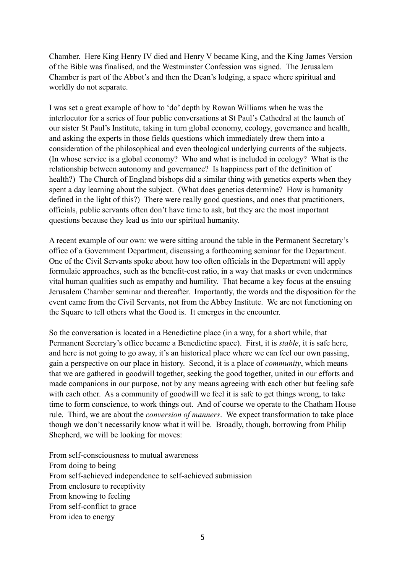Chamber. Here King Henry IV died and Henry V became King, and the King James Version of the Bible was finalised, and the Westminster Confession was signed. The Jerusalem Chamber is part of the Abbot's and then the Dean's lodging, a space where spiritual and worldly do not separate.

I was set a great example of how to 'do' depth by Rowan Williams when he was the interlocutor for a series of four public conversations at St Paul's Cathedral at the launch of our sister St Paul's Institute, taking in turn global economy, ecology, governance and health, and asking the experts in those fields questions which immediately drew them into a consideration of the philosophical and even theological underlying currents of the subjects. (In whose service is a global economy? Who and what is included in ecology? What is the relationship between autonomy and governance? Is happiness part of the definition of health?) The Church of England bishops did a similar thing with genetics experts when they spent a day learning about the subject. (What does genetics determine? How is humanity defined in the light of this?) There were really good questions, and ones that practitioners, officials, public servants often don't have time to ask, but they are the most important questions because they lead us into our spiritual humanity.

A recent example of our own: we were sitting around the table in the Permanent Secretary's office of a Government Department, discussing a forthcoming seminar for the Department. One of the Civil Servants spoke about how too often officials in the Department will apply formulaic approaches, such as the benefit-cost ratio, in a way that masks or even undermines vital human qualities such as empathy and humility. That became a key focus at the ensuing Jerusalem Chamber seminar and thereafter. Importantly, the words and the disposition for the event came from the Civil Servants, not from the Abbey Institute. We are not functioning on the Square to tell others what the Good is. It emerges in the encounter.

So the conversation is located in a Benedictine place (in a way, for a short while, that Permanent Secretary's office became a Benedictine space). First, it is *stable*, it is safe here, and here is not going to go away, it's an historical place where we can feel our own passing, gain a perspective on our place in history. Second, it is a place of *community*, which means that we are gathered in goodwill together, seeking the good together, united in our efforts and made companions in our purpose, not by any means agreeing with each other but feeling safe with each other. As a community of goodwill we feel it is safe to get things wrong, to take time to form conscience, to work things out. And of course we operate to the Chatham House rule. Third, we are about the *conversion of manners*. We expect transformation to take place though we don't necessarily know what it will be. Broadly, though, borrowing from Philip Shepherd, we will be looking for moves:

From self-consciousness to mutual awareness From doing to being From self-achieved independence to self-achieved submission From enclosure to receptivity From knowing to feeling From self-conflict to grace From idea to energy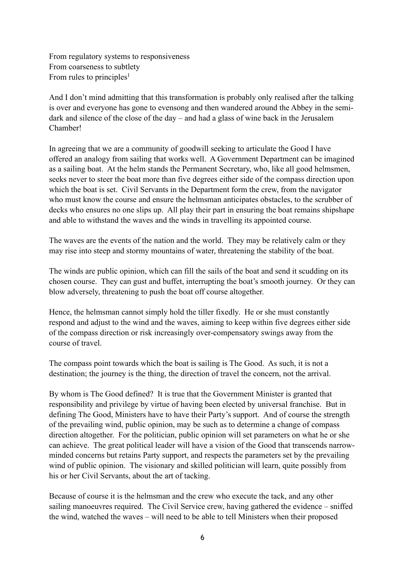From regulatory systems to responsiveness From coarseness to subtlety From rules to principles<sup>1</sup>

And I don't mind admitting that this transformation is probably only realised after the talking is over and everyone has gone to evensong and then wandered around the Abbey in the semidark and silence of the close of the day – and had a glass of wine back in the Jerusalem Chamber!

In agreeing that we are a community of goodwill seeking to articulate the Good I have offered an analogy from sailing that works well. A Government Department can be imagined as a sailing boat. At the helm stands the Permanent Secretary, who, like all good helmsmen, seeks never to steer the boat more than five degrees either side of the compass direction upon which the boat is set. Civil Servants in the Department form the crew, from the navigator who must know the course and ensure the helmsman anticipates obstacles, to the scrubber of decks who ensures no one slips up. All play their part in ensuring the boat remains shipshape and able to withstand the waves and the winds in travelling its appointed course.

The waves are the events of the nation and the world. They may be relatively calm or they may rise into steep and stormy mountains of water, threatening the stability of the boat.

The winds are public opinion, which can fill the sails of the boat and send it scudding on its chosen course. They can gust and buffet, interrupting the boat's smooth journey. Or they can blow adversely, threatening to push the boat off course altogether.

Hence, the helmsman cannot simply hold the tiller fixedly. He or she must constantly respond and adjust to the wind and the waves, aiming to keep within five degrees either side of the compass direction or risk increasingly over-compensatory swings away from the course of travel.

The compass point towards which the boat is sailing is The Good. As such, it is not a destination; the journey is the thing, the direction of travel the concern, not the arrival.

By whom is The Good defined? It is true that the Government Minister is granted that responsibility and privilege by virtue of having been elected by universal franchise. But in defining The Good, Ministers have to have their Party's support. And of course the strength of the prevailing wind, public opinion, may be such as to determine a change of compass direction altogether. For the politician, public opinion will set parameters on what he or she can achieve. The great political leader will have a vision of the Good that transcends narrowminded concerns but retains Party support, and respects the parameters set by the prevailing wind of public opinion. The visionary and skilled politician will learn, quite possibly from his or her Civil Servants, about the art of tacking.

Because of course it is the helmsman and the crew who execute the tack, and any other sailing manoeuvres required. The Civil Service crew, having gathered the evidence – sniffed the wind, watched the waves – will need to be able to tell Ministers when their proposed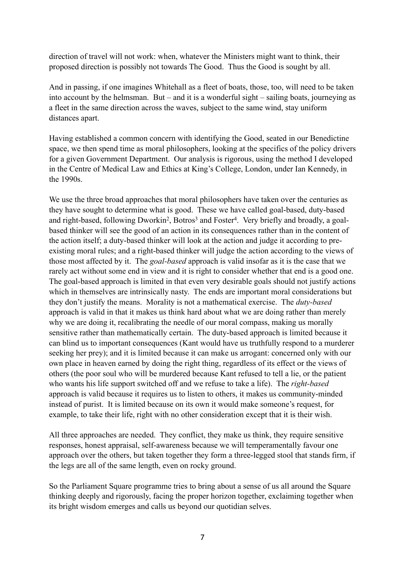direction of travel will not work: when, whatever the Ministers might want to think, their proposed direction is possibly not towards The Good. Thus the Good is sought by all.

And in passing, if one imagines Whitehall as a fleet of boats, those, too, will need to be taken into account by the helmsman. But – and it is a wonderful sight – sailing boats, journeying as a fleet in the same direction across the waves, subject to the same wind, stay uniform distances apart.

Having established a common concern with identifying the Good, seated in our Benedictine space, we then spend time as moral philosophers, looking at the specifics of the policy drivers for a given Government Department. Our analysis is rigorous, using the method I developed in the Centre of Medical Law and Ethics at King's College, London, under Ian Kennedy, in the 1990s.

We use the three broad approaches that moral philosophers have taken over the centuries as they have sought to determine what is good. These we have called goal-based, duty-based and right-based, following Dworkin<sup>2</sup>, Botros<sup>3</sup> and Foster<sup>4</sup>. Very briefly and broadly, a goalbased thinker will see the good of an action in its consequences rather than in the content of the action itself; a duty-based thinker will look at the action and judge it according to preexisting moral rules; and a right-based thinker will judge the action according to the views of those most affected by it. The *goal-based* approach is valid insofar as it is the case that we rarely act without some end in view and it is right to consider whether that end is a good one. The goal-based approach is limited in that even very desirable goals should not justify actions which in themselves are intrinsically nasty. The ends are important moral considerations but they don't justify the means. Morality is not a mathematical exercise. The *duty-based* approach is valid in that it makes us think hard about what we are doing rather than merely why we are doing it, recalibrating the needle of our moral compass, making us morally sensitive rather than mathematically certain. The duty-based approach is limited because it can blind us to important consequences (Kant would have us truthfully respond to a murderer seeking her prey); and it is limited because it can make us arrogant: concerned only with our own place in heaven earned by doing the right thing, regardless of its effect or the views of others (the poor soul who will be murdered because Kant refused to tell a lie, or the patient who wants his life support switched off and we refuse to take a life). The *right-based* approach is valid because it requires us to listen to others, it makes us community-minded instead of purist. It is limited because on its own it would make someone's request, for example, to take their life, right with no other consideration except that it is their wish.

All three approaches are needed. They conflict, they make us think, they require sensitive responses, honest appraisal, self-awareness because we will temperamentally favour one approach over the others, but taken together they form a three-legged stool that stands firm, if the legs are all of the same length, even on rocky ground.

So the Parliament Square programme tries to bring about a sense of us all around the Square thinking deeply and rigorously, facing the proper horizon together, exclaiming together when its bright wisdom emerges and calls us beyond our quotidian selves.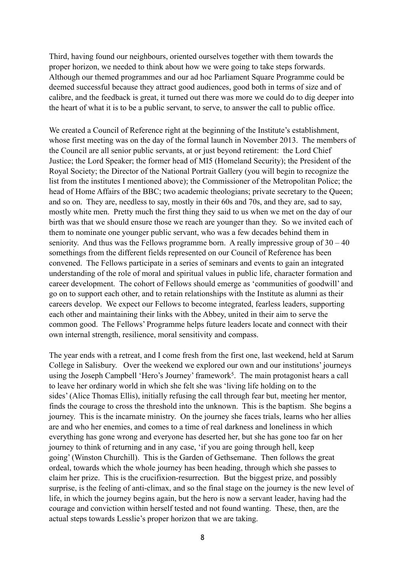Third, having found our neighbours, oriented ourselves together with them towards the proper horizon, we needed to think about how we were going to take steps forwards. Although our themed programmes and our ad hoc Parliament Square Programme could be deemed successful because they attract good audiences, good both in terms of size and of calibre, and the feedback is great, it turned out there was more we could do to dig deeper into the heart of what it is to be a public servant, to serve, to answer the call to public office.

We created a Council of Reference right at the beginning of the Institute's establishment, whose first meeting was on the day of the formal launch in November 2013. The members of the Council are all senior public servants, at or just beyond retirement: the Lord Chief Justice; the Lord Speaker; the former head of MI5 (Homeland Security); the President of the Royal Society; the Director of the National Portrait Gallery (you will begin to recognize the list from the institutes I mentioned above); the Commissioner of the Metropolitan Police; the head of Home Affairs of the BBC; two academic theologians; private secretary to the Queen; and so on. They are, needless to say, mostly in their 60s and 70s, and they are, sad to say, mostly white men. Pretty much the first thing they said to us when we met on the day of our birth was that we should ensure those we reach are younger than they. So we invited each of them to nominate one younger public servant, who was a few decades behind them in seniority. And thus was the Fellows programme born. A really impressive group of  $30 - 40$ somethings from the different fields represented on our Council of Reference has been convened. The Fellows participate in a series of seminars and events to gain an integrated understanding of the role of moral and spiritual values in public life, character formation and career development. The cohort of Fellows should emerge as 'communities of goodwill' and go on to support each other, and to retain relationships with the Institute as alumni as their careers develop. We expect our Fellows to become integrated, fearless leaders, supporting each other and maintaining their links with the Abbey, united in their aim to serve the common good. The Fellows' Programme helps future leaders locate and connect with their own internal strength, resilience, moral sensitivity and compass.

The year ends with a retreat, and I come fresh from the first one, last weekend, held at Sarum College in Salisbury. Over the weekend we explored our own and our institutions' journeys using the Joseph Campbell 'Hero's Journey' framework<sup>5</sup>. The main protagonist hears a call to leave her ordinary world in which she felt she was 'living life holding on to the sides' (Alice Thomas Ellis), initially refusing the call through fear but, meeting her mentor, finds the courage to cross the threshold into the unknown. This is the baptism. She begins a journey. This is the incarnate ministry. On the journey she faces trials, learns who her allies are and who her enemies, and comes to a time of real darkness and loneliness in which everything has gone wrong and everyone has deserted her, but she has gone too far on her journey to think of returning and in any case, 'if you are going through hell, keep going' (Winston Churchill). This is the Garden of Gethsemane. Then follows the great ordeal, towards which the whole journey has been heading, through which she passes to claim her prize. This is the crucifixion-resurrection. But the biggest prize, and possibly surprise, is the feeling of anti-climax, and so the final stage on the journey is the new level of life, in which the journey begins again, but the hero is now a servant leader, having had the courage and conviction within herself tested and not found wanting. These, then, are the actual steps towards Lesslie's proper horizon that we are taking.